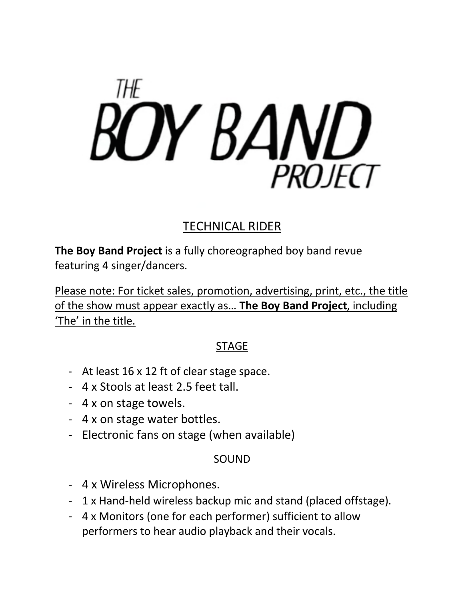

# TECHNICAL RIDER

**The Boy Band Project** is a fully choreographed boy band revue featuring 4 singer/dancers.

Please note: For ticket sales, promotion, advertising, print, etc., the title of the show must appear exactly as… **The Boy Band Project**, including 'The' in the title.

#### STAGE

- At least 16 x 12 ft of clear stage space.
- 4 x Stools at least 2.5 feet tall.
- 4 x on stage towels.
- 4 x on stage water bottles.
- Electronic fans on stage (when available)

# SOUND

- 4 x Wireless Microphones.
- 1 x Hand-held wireless backup mic and stand (placed offstage).
- 4 x Monitors (one for each performer) sufficient to allow performers to hear audio playback and their vocals.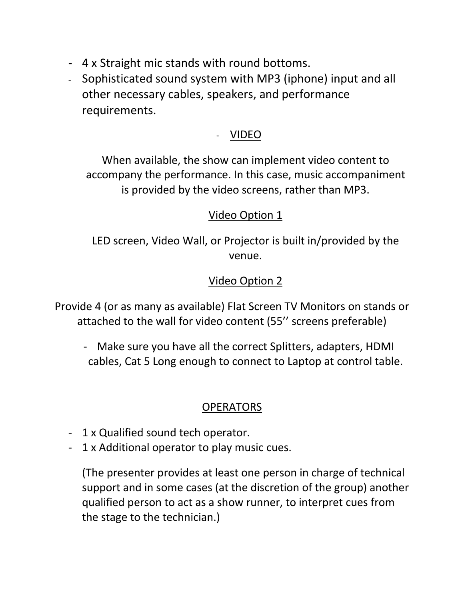- 4 x Straight mic stands with round bottoms.
- Sophisticated sound system with MP3 (iphone) input and all other necessary cables, speakers, and performance requirements.

#### - VIDEO

When available, the show can implement video content to accompany the performance. In this case, music accompaniment is provided by the video screens, rather than MP3.

#### Video Option 1

LED screen, Video Wall, or Projector is built in/provided by the venue.

#### Video Option 2

Provide 4 (or as many as available) Flat Screen TV Monitors on stands or attached to the wall for video content (55'' screens preferable)

- Make sure you have all the correct Splitters, adapters, HDMI cables, Cat 5 Long enough to connect to Laptop at control table.

#### **OPERATORS**

- 1 x Qualified sound tech operator.
- 1 x Additional operator to play music cues.

(The presenter provides at least one person in charge of technical support and in some cases (at the discretion of the group) another qualified person to act as a show runner, to interpret cues from the stage to the technician.)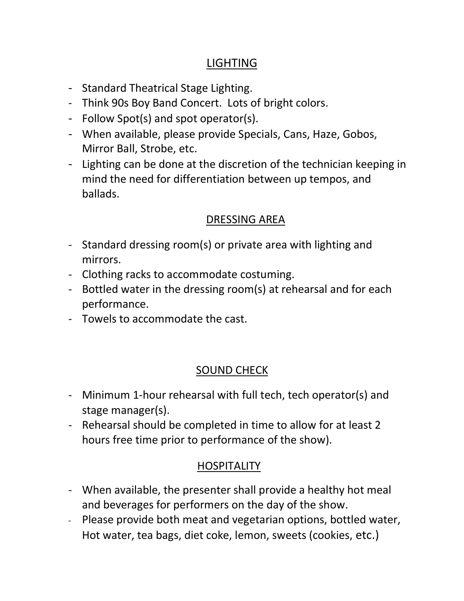# LIGHTING

- Standard Theatrical Stage Lighting.
- Think 90s Boy Band Concert. Lots of bright colors.
- Follow Spot(s) and spot operator(s).
- When available, please provide Specials, Cans, Haze, Gobos, Mirror Ball, Strobe, etc.
- Lighting can be done at the discretion of the technician keeping in mind the need for differentiation between up tempos, and ballads.

# DRESSING AREA

- Standard dressing room(s) or private area with lighting and mirrors.
- Clothing racks to accommodate costuming.
- Bottled water in the dressing room(s) at rehearsal and for each performance.
- Towels to accommodate the cast.

# SOUND CHECK

- Minimum 1-hour rehearsal with full tech, tech operator(s) and stage manager(s).
- Rehearsal should be completed in time to allow for at least 2 hours free time prior to performance of the show).

#### **HOSPITALITY**

- When available, the presenter shall provide a healthy hot meal and beverages for performers on the day of the show.
- Please provide both meat and vegetarian options, bottled water, Hot water, tea bags, diet coke, lemon, sweets (cookies, etc.)